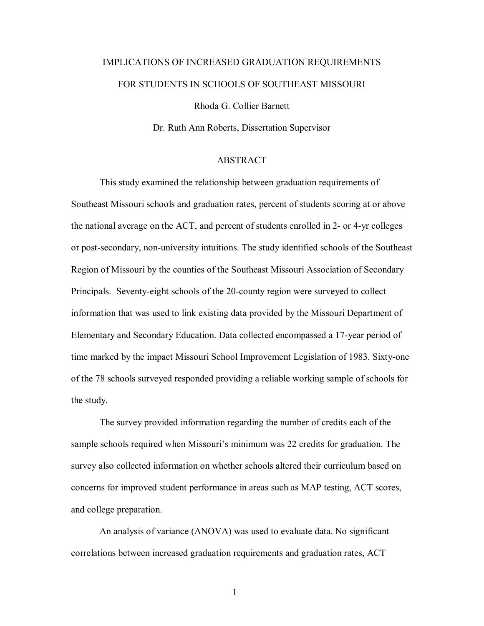## IMPLICATIONS OF INCREASED GRADUATION REQUIREMENTS FOR STUDENTS IN SCHOOLS OF SOUTHEAST MISSOURI

Rhoda G. Collier Barnett

Dr. Ruth Ann Roberts, Dissertation Supervisor

## ABSTRACT

 This study examined the relationship between graduation requirements of Southeast Missouri schools and graduation rates, percent of students scoring at or above the national average on the ACT, and percent of students enrolled in 2- or 4-yr colleges or post-secondary, non-university intuitions. The study identified schools of the Southeast Region of Missouri by the counties of the Southeast Missouri Association of Secondary Principals. Seventy-eight schools of the 20-county region were surveyed to collect information that was used to link existing data provided by the Missouri Department of Elementary and Secondary Education. Data collected encompassed a 17-year period of time marked by the impact Missouri School Improvement Legislation of 1983. Sixty-one of the 78 schools surveyed responded providing a reliable working sample of schools for the study.

 The survey provided information regarding the number of credits each of the sample schools required when Missouri's minimum was 22 credits for graduation. The survey also collected information on whether schools altered their curriculum based on concerns for improved student performance in areas such as MAP testing, ACT scores, and college preparation.

 An analysis of variance (ANOVA) was used to evaluate data. No significant correlations between increased graduation requirements and graduation rates, ACT

1